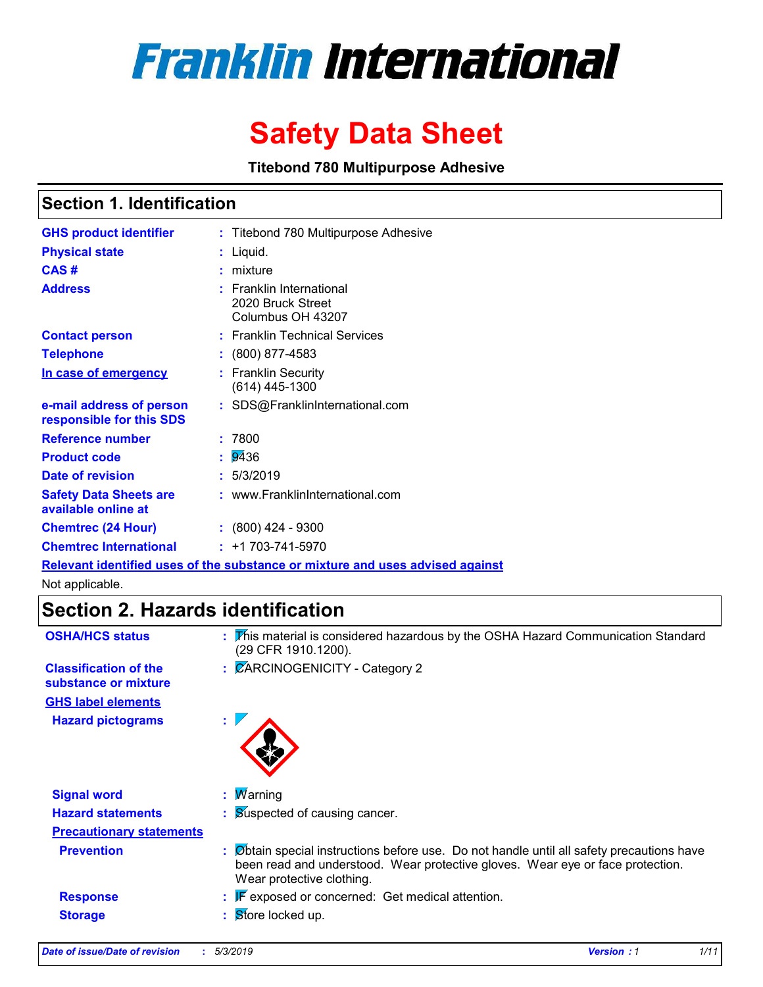# **Franklin International**

# **Safety Data Sheet**

**Titebond 780 Multipurpose Adhesive**

### **Section 1. Identification**

| <b>GHS product identifier</b>                        | : Titebond 780 Multipurpose Adhesive                                          |
|------------------------------------------------------|-------------------------------------------------------------------------------|
| <b>Physical state</b>                                | : Liquid.                                                                     |
| CAS#                                                 | $:$ mixture                                                                   |
| <b>Address</b>                                       | $:$ Franklin International<br>2020 Bruck Street<br>Columbus OH 43207          |
| <b>Contact person</b>                                | : Franklin Technical Services                                                 |
| <b>Telephone</b>                                     | $: (800) 877 - 4583$                                                          |
| In case of emergency                                 | : Franklin Security<br>$(614)$ 445-1300                                       |
| e-mail address of person<br>responsible for this SDS | : SDS@FranklinInternational.com                                               |
| <b>Reference number</b>                              | : 7800                                                                        |
| <b>Product code</b>                                  | : 9436                                                                        |
| Date of revision                                     | : 5/3/2019                                                                    |
| <b>Safety Data Sheets are</b><br>available online at | : www.FranklinInternational.com                                               |
| <b>Chemtrec (24 Hour)</b>                            | $: (800)$ 424 - 9300                                                          |
| <b>Chemtrec International</b>                        | $: +1703 - 741 - 5970$                                                        |
|                                                      | Relevant identified uses of the substance or mixture and uses advised against |

Not applicable.

# **Section 2. Hazards identification**

| <b>OSHA/HCS status</b>                               | : This material is considered hazardous by the OSHA Hazard Communication Standard<br>(29 CFR 1910.1200).                                                                                               |
|------------------------------------------------------|--------------------------------------------------------------------------------------------------------------------------------------------------------------------------------------------------------|
| <b>Classification of the</b><br>substance or mixture | : CARCINOGENICITY - Category 2                                                                                                                                                                         |
| <b>GHS label elements</b>                            |                                                                                                                                                                                                        |
| <b>Hazard pictograms</b>                             | ÷.                                                                                                                                                                                                     |
| <b>Signal word</b>                                   | <b>W</b> arning<br>÷.                                                                                                                                                                                  |
| <b>Hazard statements</b>                             | : Suspected of causing cancer.                                                                                                                                                                         |
| <b>Precautionary statements</b>                      |                                                                                                                                                                                                        |
| <b>Prevention</b>                                    | Øbtain special instructions before use. Do not handle until all safety precautions have<br>been read and understood. Wear protective gloves. Wear eye or face protection.<br>Wear protective clothing. |
| <b>Response</b>                                      | $\mathbb{F}$ exposed or concerned: Get medical attention.                                                                                                                                              |
| <b>Storage</b>                                       | Store locked up.                                                                                                                                                                                       |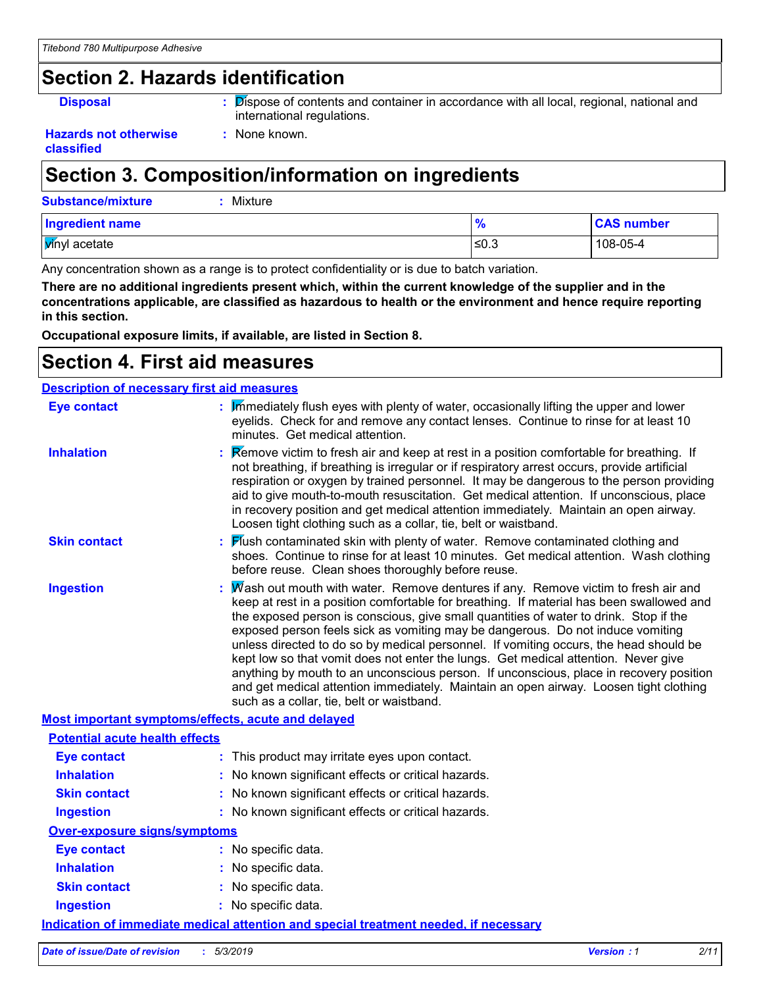# **Section 2. Hazards identification**

**Disposal :** Dispose of contents and container in accordance with all local, regional, national and international regulations.

#### **Hazards not otherwise classified**

# **Section 3. Composition/information on ingredients**

**:** None known.

| <b>Substance/mixture</b> | Mixture |       |                   |
|--------------------------|---------|-------|-------------------|
| Ingredient name          |         |       | <b>CAS number</b> |
| <b>V</b> inyl acetate    |         | .≤0.3 | 108-05-4          |

Any concentration shown as a range is to protect confidentiality or is due to batch variation.

**There are no additional ingredients present which, within the current knowledge of the supplier and in the concentrations applicable, are classified as hazardous to health or the environment and hence require reporting in this section.**

**Occupational exposure limits, if available, are listed in Section 8.**

## **Section 4. First aid measures**

| <b>Description of necessary first aid measures</b> |                                                                                                                                                                                                                                                                                                                                                                                                                                                                                                                                                                                                                                                                                                                                                                         |
|----------------------------------------------------|-------------------------------------------------------------------------------------------------------------------------------------------------------------------------------------------------------------------------------------------------------------------------------------------------------------------------------------------------------------------------------------------------------------------------------------------------------------------------------------------------------------------------------------------------------------------------------------------------------------------------------------------------------------------------------------------------------------------------------------------------------------------------|
| <b>Eye contact</b>                                 | : Immediately flush eyes with plenty of water, occasionally lifting the upper and lower<br>eyelids. Check for and remove any contact lenses. Continue to rinse for at least 10<br>minutes. Get medical attention.                                                                                                                                                                                                                                                                                                                                                                                                                                                                                                                                                       |
| <b>Inhalation</b>                                  | Remove victim to fresh air and keep at rest in a position comfortable for breathing. If<br>not breathing, if breathing is irregular or if respiratory arrest occurs, provide artificial<br>respiration or oxygen by trained personnel. It may be dangerous to the person providing<br>aid to give mouth-to-mouth resuscitation. Get medical attention. If unconscious, place<br>in recovery position and get medical attention immediately. Maintain an open airway.<br>Loosen tight clothing such as a collar, tie, belt or waistband.                                                                                                                                                                                                                                 |
| <b>Skin contact</b>                                | Mush contaminated skin with plenty of water. Remove contaminated clothing and<br>shoes. Continue to rinse for at least 10 minutes. Get medical attention. Wash clothing<br>before reuse. Clean shoes thoroughly before reuse.                                                                                                                                                                                                                                                                                                                                                                                                                                                                                                                                           |
| <b>Ingestion</b>                                   | Wash out mouth with water. Remove dentures if any. Remove victim to fresh air and<br>keep at rest in a position comfortable for breathing. If material has been swallowed and<br>the exposed person is conscious, give small quantities of water to drink. Stop if the<br>exposed person feels sick as vomiting may be dangerous. Do not induce vomiting<br>unless directed to do so by medical personnel. If vomiting occurs, the head should be<br>kept low so that vomit does not enter the lungs. Get medical attention. Never give<br>anything by mouth to an unconscious person. If unconscious, place in recovery position<br>and get medical attention immediately. Maintain an open airway. Loosen tight clothing<br>such as a collar, tie, belt or waistband. |
|                                                    | Most important symptoms/effects, acute and delayed                                                                                                                                                                                                                                                                                                                                                                                                                                                                                                                                                                                                                                                                                                                      |
| <b>Potential acute health effects</b>              |                                                                                                                                                                                                                                                                                                                                                                                                                                                                                                                                                                                                                                                                                                                                                                         |
| <b>Eye contact</b>                                 | : This product may irritate eyes upon contact.                                                                                                                                                                                                                                                                                                                                                                                                                                                                                                                                                                                                                                                                                                                          |
| <b>Inhalation</b>                                  | : No known significant effects or critical hazards.                                                                                                                                                                                                                                                                                                                                                                                                                                                                                                                                                                                                                                                                                                                     |
| <b>Skin contact</b>                                | : No known significant effects or critical hazards.                                                                                                                                                                                                                                                                                                                                                                                                                                                                                                                                                                                                                                                                                                                     |
| <b>Ingestion</b>                                   | : No known significant effects or critical hazards.                                                                                                                                                                                                                                                                                                                                                                                                                                                                                                                                                                                                                                                                                                                     |
| <b>Over-exposure signs/symptoms</b>                |                                                                                                                                                                                                                                                                                                                                                                                                                                                                                                                                                                                                                                                                                                                                                                         |
| <b>Eye contact</b>                                 | : No specific data.                                                                                                                                                                                                                                                                                                                                                                                                                                                                                                                                                                                                                                                                                                                                                     |
| <b>Inhalation</b>                                  | : No specific data.                                                                                                                                                                                                                                                                                                                                                                                                                                                                                                                                                                                                                                                                                                                                                     |
| <b>Skin contact</b>                                | : No specific data.                                                                                                                                                                                                                                                                                                                                                                                                                                                                                                                                                                                                                                                                                                                                                     |
| <b>Ingestion</b>                                   | : No specific data.                                                                                                                                                                                                                                                                                                                                                                                                                                                                                                                                                                                                                                                                                                                                                     |
|                                                    | <b>Indication of immediate medical attention and special treatment needed, if necessary</b>                                                                                                                                                                                                                                                                                                                                                                                                                                                                                                                                                                                                                                                                             |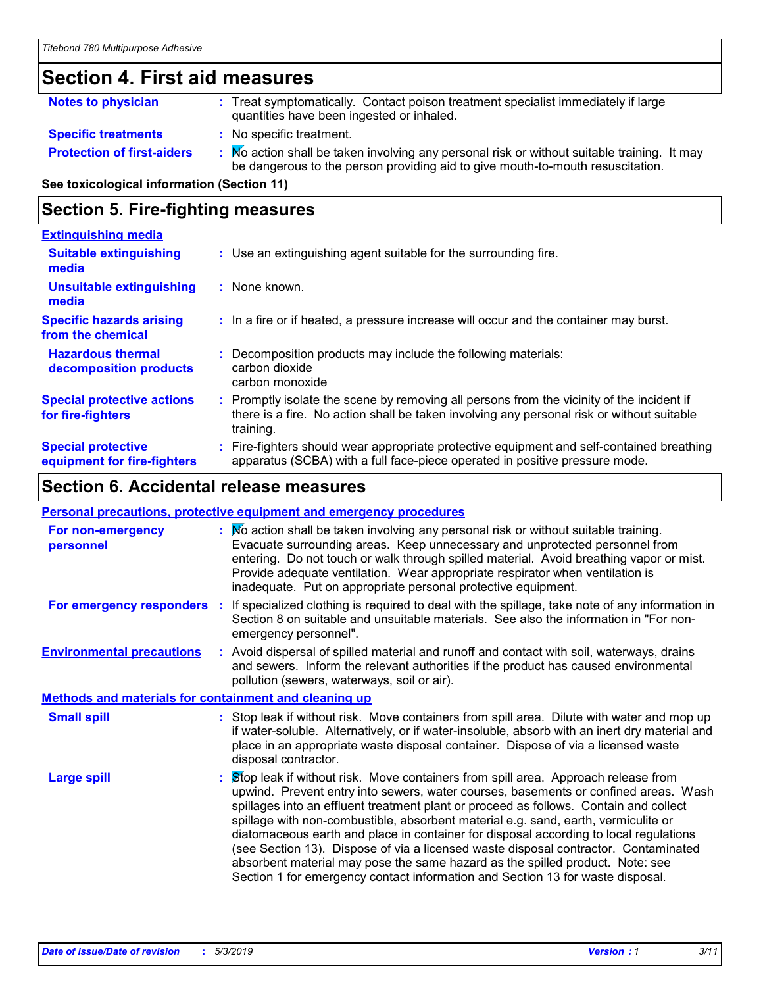# **Section 4. First aid measures**

| <b>Notes to physician</b>         | : Treat symptomatically. Contact poison treatment specialist immediately if large<br>quantities have been ingested or inhaled.                                                |
|-----------------------------------|-------------------------------------------------------------------------------------------------------------------------------------------------------------------------------|
| <b>Specific treatments</b>        | : No specific treatment.                                                                                                                                                      |
| <b>Protection of first-aiders</b> | : Mo action shall be taken involving any personal risk or without suitable training. It may<br>be dangerous to the person providing aid to give mouth-to-mouth resuscitation. |

**See toxicological information (Section 11)**

### **Section 5. Fire-fighting measures**

| <b>Extinguishing media</b>                               |                                                                                                                                                                                                   |
|----------------------------------------------------------|---------------------------------------------------------------------------------------------------------------------------------------------------------------------------------------------------|
| <b>Suitable extinguishing</b><br>media                   | : Use an extinguishing agent suitable for the surrounding fire.                                                                                                                                   |
| <b>Unsuitable extinguishing</b><br>media                 | : None known.                                                                                                                                                                                     |
| <b>Specific hazards arising</b><br>from the chemical     | : In a fire or if heated, a pressure increase will occur and the container may burst.                                                                                                             |
| <b>Hazardous thermal</b><br>decomposition products       | Decomposition products may include the following materials:<br>carbon dioxide<br>carbon monoxide                                                                                                  |
| <b>Special protective actions</b><br>for fire-fighters   | Promptly isolate the scene by removing all persons from the vicinity of the incident if<br>there is a fire. No action shall be taken involving any personal risk or without suitable<br>training. |
| <b>Special protective</b><br>equipment for fire-fighters | Fire-fighters should wear appropriate protective equipment and self-contained breathing<br>apparatus (SCBA) with a full face-piece operated in positive pressure mode.                            |

### **Section 6. Accidental release measures**

| <b>Personal precautions, protective equipment and emergency procedures</b> |  |                                                                                                                                                                                                                                                                                                                                                                                                                                                                                                                                                                                                                                                                                                            |
|----------------------------------------------------------------------------|--|------------------------------------------------------------------------------------------------------------------------------------------------------------------------------------------------------------------------------------------------------------------------------------------------------------------------------------------------------------------------------------------------------------------------------------------------------------------------------------------------------------------------------------------------------------------------------------------------------------------------------------------------------------------------------------------------------------|
| For non-emergency<br>personnel                                             |  | : No action shall be taken involving any personal risk or without suitable training.<br>Evacuate surrounding areas. Keep unnecessary and unprotected personnel from<br>entering. Do not touch or walk through spilled material. Avoid breathing vapor or mist.<br>Provide adequate ventilation. Wear appropriate respirator when ventilation is<br>inadequate. Put on appropriate personal protective equipment.                                                                                                                                                                                                                                                                                           |
| For emergency responders                                                   |  | : If specialized clothing is required to deal with the spillage, take note of any information in<br>Section 8 on suitable and unsuitable materials. See also the information in "For non-<br>emergency personnel".                                                                                                                                                                                                                                                                                                                                                                                                                                                                                         |
| <b>Environmental precautions</b>                                           |  | : Avoid dispersal of spilled material and runoff and contact with soil, waterways, drains<br>and sewers. Inform the relevant authorities if the product has caused environmental<br>pollution (sewers, waterways, soil or air).                                                                                                                                                                                                                                                                                                                                                                                                                                                                            |
| <b>Methods and materials for containment and cleaning up</b>               |  |                                                                                                                                                                                                                                                                                                                                                                                                                                                                                                                                                                                                                                                                                                            |
| <b>Small spill</b>                                                         |  | : Stop leak if without risk. Move containers from spill area. Dilute with water and mop up<br>if water-soluble. Alternatively, or if water-insoluble, absorb with an inert dry material and<br>place in an appropriate waste disposal container. Dispose of via a licensed waste<br>disposal contractor.                                                                                                                                                                                                                                                                                                                                                                                                   |
| <b>Large spill</b>                                                         |  | Stop leak if without risk. Move containers from spill area. Approach release from<br>upwind. Prevent entry into sewers, water courses, basements or confined areas. Wash<br>spillages into an effluent treatment plant or proceed as follows. Contain and collect<br>spillage with non-combustible, absorbent material e.g. sand, earth, vermiculite or<br>diatomaceous earth and place in container for disposal according to local regulations<br>(see Section 13). Dispose of via a licensed waste disposal contractor. Contaminated<br>absorbent material may pose the same hazard as the spilled product. Note: see<br>Section 1 for emergency contact information and Section 13 for waste disposal. |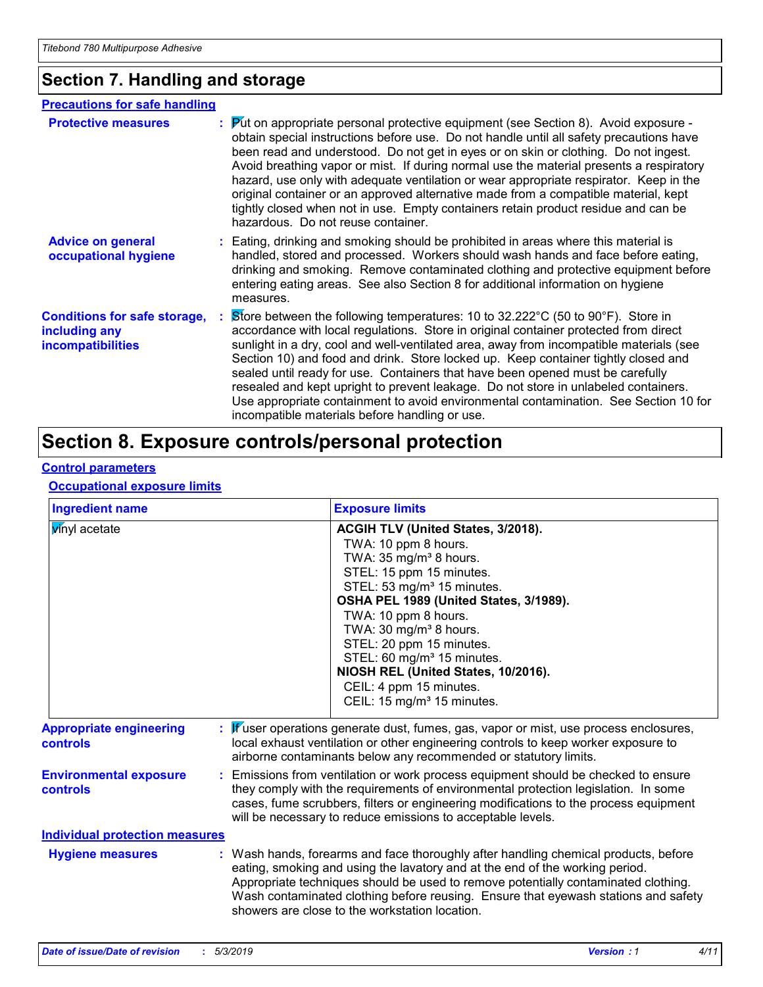# **Section 7. Handling and storage**

| <b>Precautions for safe handling</b>                                             |                                                                                                                                                                                                                                                                                                                                                                                                                                                                                                                                                                                                                                                                                          |
|----------------------------------------------------------------------------------|------------------------------------------------------------------------------------------------------------------------------------------------------------------------------------------------------------------------------------------------------------------------------------------------------------------------------------------------------------------------------------------------------------------------------------------------------------------------------------------------------------------------------------------------------------------------------------------------------------------------------------------------------------------------------------------|
| <b>Protective measures</b>                                                       | $\mathbf{P}$ ut on appropriate personal protective equipment (see Section 8). Avoid exposure -<br>obtain special instructions before use. Do not handle until all safety precautions have<br>been read and understood. Do not get in eyes or on skin or clothing. Do not ingest.<br>Avoid breathing vapor or mist. If during normal use the material presents a respiratory<br>hazard, use only with adequate ventilation or wear appropriate respirator. Keep in the<br>original container or an approved alternative made from a compatible material, kept<br>tightly closed when not in use. Empty containers retain product residue and can be<br>hazardous. Do not reuse container. |
| <b>Advice on general</b><br>occupational hygiene                                 | : Eating, drinking and smoking should be prohibited in areas where this material is<br>handled, stored and processed. Workers should wash hands and face before eating,<br>drinking and smoking. Remove contaminated clothing and protective equipment before<br>entering eating areas. See also Section 8 for additional information on hygiene<br>measures.                                                                                                                                                                                                                                                                                                                            |
| <b>Conditions for safe storage,</b><br>including any<br><b>incompatibilities</b> | Store between the following temperatures: 10 to 32.222°C (50 to 90°F). Store in<br>accordance with local regulations. Store in original container protected from direct<br>sunlight in a dry, cool and well-ventilated area, away from incompatible materials (see<br>Section 10) and food and drink. Store locked up. Keep container tightly closed and<br>sealed until ready for use. Containers that have been opened must be carefully<br>resealed and kept upright to prevent leakage. Do not store in unlabeled containers.<br>Use appropriate containment to avoid environmental contamination. See Section 10 for<br>incompatible materials before handling or use.              |

# **Section 8. Exposure controls/personal protection**

### **Control parameters**

### **Occupational exposure limits**

| <b>Ingredient name</b>                            | <b>Exposure limits</b>                                                                                                                                                                                                                                                                                                                                                                                                                                           |
|---------------------------------------------------|------------------------------------------------------------------------------------------------------------------------------------------------------------------------------------------------------------------------------------------------------------------------------------------------------------------------------------------------------------------------------------------------------------------------------------------------------------------|
| winyl acetate                                     | ACGIH TLV (United States, 3/2018).<br>TWA: 10 ppm 8 hours.<br>TWA: 35 mg/m <sup>3</sup> 8 hours.<br>STEL: 15 ppm 15 minutes.<br>STEL: 53 mg/m <sup>3</sup> 15 minutes.<br>OSHA PEL 1989 (United States, 3/1989).<br>TWA: 10 ppm 8 hours.<br>TWA: 30 mg/m <sup>3</sup> 8 hours.<br>STEL: 20 ppm 15 minutes.<br>STEL: 60 mg/m <sup>3</sup> 15 minutes.<br>NIOSH REL (United States, 10/2016).<br>CEIL: 4 ppm 15 minutes.<br>CEIL: 15 mg/m <sup>3</sup> 15 minutes. |
| <b>Appropriate engineering</b><br><b>controls</b> | : Wuser operations generate dust, fumes, gas, vapor or mist, use process enclosures,<br>local exhaust ventilation or other engineering controls to keep worker exposure to<br>airborne contaminants below any recommended or statutory limits.                                                                                                                                                                                                                   |
| <b>Environmental exposure</b><br><b>controls</b>  | Emissions from ventilation or work process equipment should be checked to ensure<br>they comply with the requirements of environmental protection legislation. In some<br>cases, fume scrubbers, filters or engineering modifications to the process equipment<br>will be necessary to reduce emissions to acceptable levels.                                                                                                                                    |
| <b>Individual protection measures</b>             |                                                                                                                                                                                                                                                                                                                                                                                                                                                                  |
| <b>Hygiene measures</b>                           | : Wash hands, forearms and face thoroughly after handling chemical products, before<br>eating, smoking and using the lavatory and at the end of the working period.<br>Appropriate techniques should be used to remove potentially contaminated clothing.<br>Wash contaminated clothing before reusing. Ensure that eyewash stations and safety<br>showers are close to the workstation location.                                                                |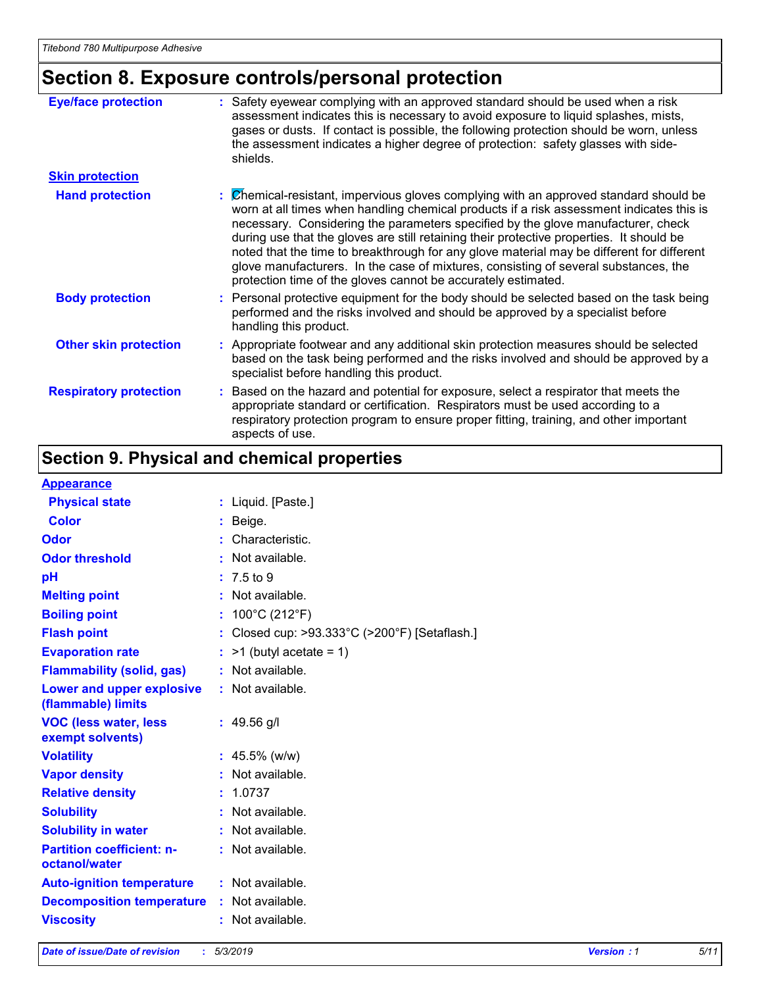# **Section 8. Exposure controls/personal protection**

| <b>Eye/face protection</b>    | : Safety eyewear complying with an approved standard should be used when a risk<br>assessment indicates this is necessary to avoid exposure to liquid splashes, mists,<br>gases or dusts. If contact is possible, the following protection should be worn, unless<br>the assessment indicates a higher degree of protection: safety glasses with side-<br>shields.                                                                                                                                                                                                                                                     |
|-------------------------------|------------------------------------------------------------------------------------------------------------------------------------------------------------------------------------------------------------------------------------------------------------------------------------------------------------------------------------------------------------------------------------------------------------------------------------------------------------------------------------------------------------------------------------------------------------------------------------------------------------------------|
| <b>Skin protection</b>        |                                                                                                                                                                                                                                                                                                                                                                                                                                                                                                                                                                                                                        |
| <b>Hand protection</b>        | : Chemical-resistant, impervious gloves complying with an approved standard should be<br>worn at all times when handling chemical products if a risk assessment indicates this is<br>necessary. Considering the parameters specified by the glove manufacturer, check<br>during use that the gloves are still retaining their protective properties. It should be<br>noted that the time to breakthrough for any glove material may be different for different<br>glove manufacturers. In the case of mixtures, consisting of several substances, the<br>protection time of the gloves cannot be accurately estimated. |
| <b>Body protection</b>        | : Personal protective equipment for the body should be selected based on the task being<br>performed and the risks involved and should be approved by a specialist before<br>handling this product.                                                                                                                                                                                                                                                                                                                                                                                                                    |
| <b>Other skin protection</b>  | : Appropriate footwear and any additional skin protection measures should be selected<br>based on the task being performed and the risks involved and should be approved by a<br>specialist before handling this product.                                                                                                                                                                                                                                                                                                                                                                                              |
| <b>Respiratory protection</b> | : Based on the hazard and potential for exposure, select a respirator that meets the<br>appropriate standard or certification. Respirators must be used according to a<br>respiratory protection program to ensure proper fitting, training, and other important<br>aspects of use.                                                                                                                                                                                                                                                                                                                                    |

# **Section 9. Physical and chemical properties**

### **Appearance**

| <b>Appearance</b>                                 |                                             |
|---------------------------------------------------|---------------------------------------------|
| <b>Physical state</b>                             | : Liquid. [Paste.]                          |
| <b>Color</b>                                      | $:$ Beige.                                  |
| Odor                                              | Characteristic.                             |
| <b>Odor threshold</b>                             | $\cdot$ Not available.                      |
| pH                                                | : 7.5 to 9                                  |
| <b>Melting point</b>                              | : Not available.                            |
| <b>Boiling point</b>                              | : $100^{\circ}$ C (212 $^{\circ}$ F)        |
| <b>Flash point</b>                                | Closed cup: >93.333°C (>200°F) [Setaflash.] |
| <b>Evaporation rate</b>                           | $:$ >1 (butyl acetate = 1)                  |
| <b>Flammability (solid, gas)</b>                  | : Not available.                            |
| Lower and upper explosive<br>(flammable) limits   | : Not available.                            |
| <b>VOC (less water, less</b><br>exempt solvents)  | $: 49.56$ g/l                               |
| <b>Volatility</b>                                 | $: 45.5\%$ (w/w)                            |
| <b>Vapor density</b>                              | : Not available.                            |
| <b>Relative density</b>                           | : 1.0737                                    |
| <b>Solubility</b>                                 | : Not available.                            |
| <b>Solubility in water</b>                        | : Not available.                            |
| <b>Partition coefficient: n-</b><br>octanol/water | : Not available.                            |
| <b>Auto-ignition temperature</b>                  | : Not available.                            |
| <b>Decomposition temperature</b>                  | $:$ Not available.                          |
| <b>Viscosity</b>                                  | : Not available.                            |
|                                                   |                                             |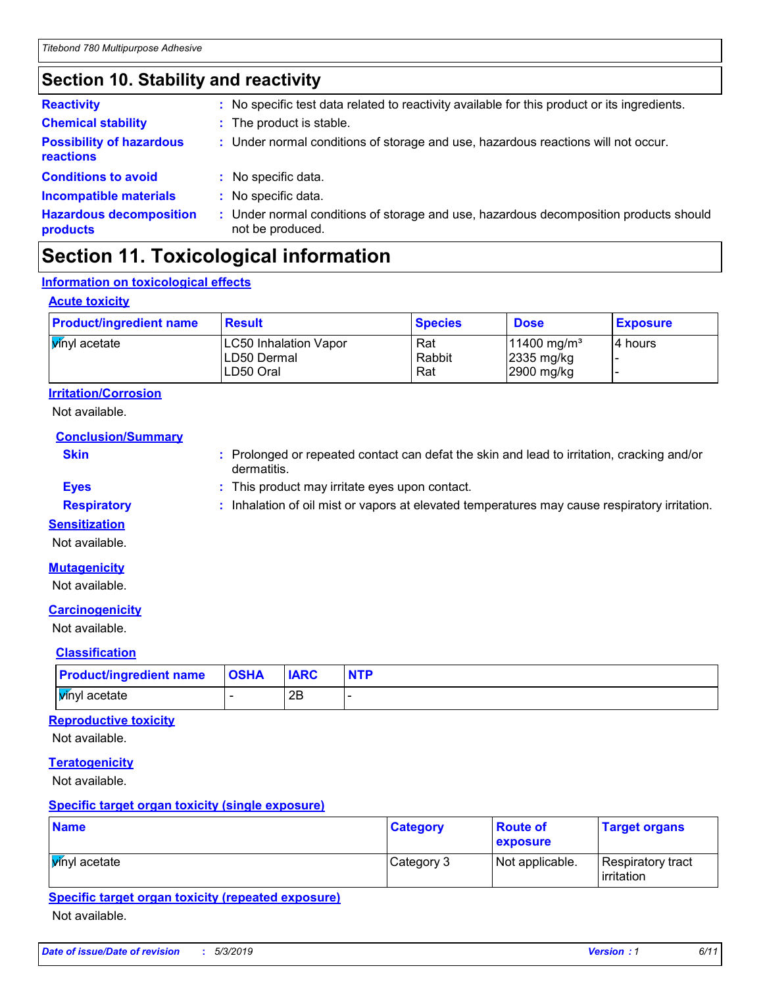### **Section 10. Stability and reactivity**

| <b>Reactivity</b>                            | : No specific test data related to reactivity available for this product or its ingredients.              |
|----------------------------------------------|-----------------------------------------------------------------------------------------------------------|
| <b>Chemical stability</b>                    | : The product is stable.                                                                                  |
| <b>Possibility of hazardous</b><br>reactions | : Under normal conditions of storage and use, hazardous reactions will not occur.                         |
| <b>Conditions to avoid</b>                   | : No specific data.                                                                                       |
| <b>Incompatible materials</b>                | : No specific data.                                                                                       |
| <b>Hazardous decomposition</b><br>products   | : Under normal conditions of storage and use, hazardous decomposition products should<br>not be produced. |

# **Section 11. Toxicological information**

### **Information on toxicological effects**

### **Acute toxicity**

| <b>Product/ingredient name</b> | <b>Result</b>                                            | <b>Species</b>       | <b>Dose</b>                                                       | <b>Exposure</b> |
|--------------------------------|----------------------------------------------------------|----------------------|-------------------------------------------------------------------|-----------------|
| <b>V</b> inyl acetate          | <b>LC50 Inhalation Vapor</b><br>LD50 Dermal<br>LD50 Oral | Rat<br>Rabbit<br>Rat | $11400$ mg/m <sup>3</sup><br>$ 2335 \text{ mg/kg} $<br>2900 mg/kg | I4 hours        |

### **Irritation/Corrosion**

Not available.

**Conclusion/Summary**

- **Skin Example 20 :** Prolonged or repeated contact can defat the skin and lead to irritation, cracking and/or dermatitis.
- **Eyes :** This product may irritate eyes upon contact.
- **Respiratory :** Inhalation of oil mist or vapors at elevated temperatures may cause respiratory irritation.

### **Sensitization**

Not available.

### **Mutagenicity**

Not available.

### **Carcinogenicity**

Not available.

### **Classification**

| <b>Product/ingredient name</b> | <b>OSHA</b> | <b>IARC</b> | <b>NTP</b> |
|--------------------------------|-------------|-------------|------------|
| <b>V</b> inyl acetate          |             | 2Β          |            |

### **Reproductive toxicity**

Not available.

### **Teratogenicity**

Not available.

### **Specific target organ toxicity (single exposure)**

| <b>Name</b>           | <b>Category</b> | <b>Route of</b><br>exposure | <b>Target organs</b>                     |
|-----------------------|-----------------|-----------------------------|------------------------------------------|
| <b>V</b> inyl acetate | Category 3      | Not applicable.             | Respiratory tract<br><b>l</b> irritation |

### **Specific target organ toxicity (repeated exposure)**

Not available.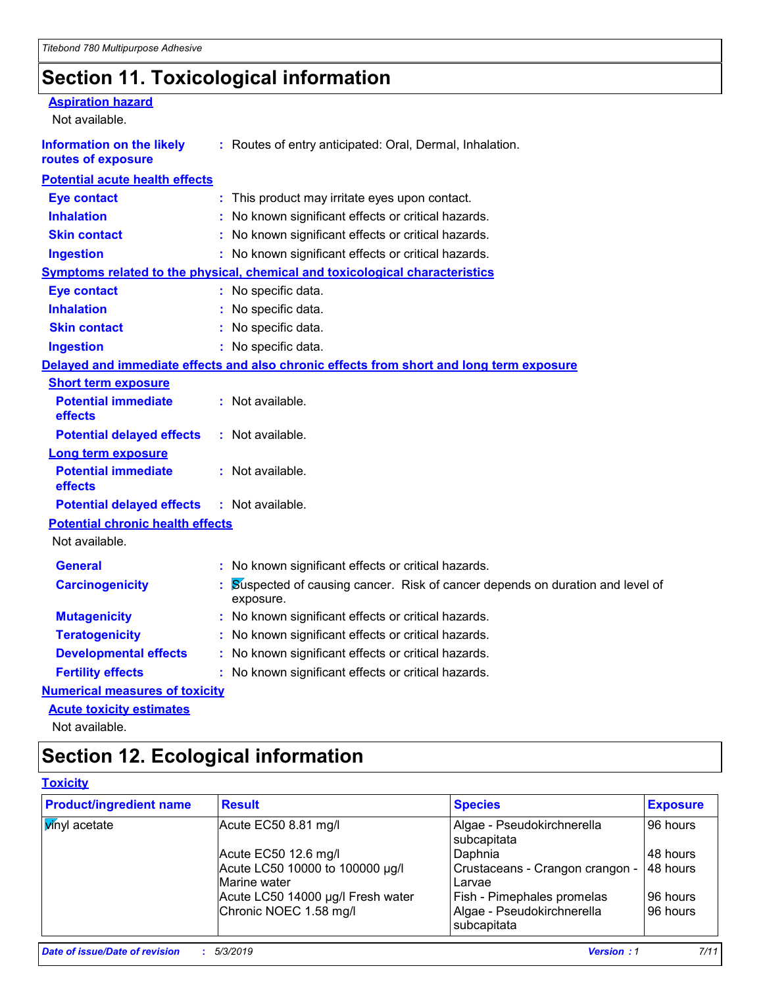# **Section 11. Toxicological information**

| <b>Aspiration hazard</b><br>Not available.             |                                                                                           |
|--------------------------------------------------------|-------------------------------------------------------------------------------------------|
| <b>Information on the likely</b><br>routes of exposure | : Routes of entry anticipated: Oral, Dermal, Inhalation.                                  |
| <b>Potential acute health effects</b>                  |                                                                                           |
| <b>Eye contact</b>                                     | This product may irritate eyes upon contact.                                              |
| <b>Inhalation</b>                                      | No known significant effects or critical hazards.                                         |
| <b>Skin contact</b>                                    | No known significant effects or critical hazards.                                         |
| <b>Ingestion</b>                                       | : No known significant effects or critical hazards.                                       |
|                                                        | <b>Symptoms related to the physical, chemical and toxicological characteristics</b>       |
| <b>Eye contact</b>                                     | : No specific data.                                                                       |
| <b>Inhalation</b>                                      | : No specific data.                                                                       |
| <b>Skin contact</b>                                    | : No specific data.                                                                       |
| <b>Ingestion</b>                                       | : No specific data.                                                                       |
|                                                        | Delayed and immediate effects and also chronic effects from short and long term exposure  |
| <b>Short term exposure</b>                             |                                                                                           |
| <b>Potential immediate</b><br>effects                  | : Not available.                                                                          |
| <b>Potential delayed effects</b>                       | : Not available.                                                                          |
| <b>Long term exposure</b>                              |                                                                                           |
| <b>Potential immediate</b><br>effects                  | : Not available.                                                                          |
| <b>Potential delayed effects</b>                       | : Not available.                                                                          |
| <b>Potential chronic health effects</b>                |                                                                                           |
| Not available.                                         |                                                                                           |
| <b>General</b>                                         | : No known significant effects or critical hazards.                                       |
| <b>Carcinogenicity</b>                                 | Suspected of causing cancer. Risk of cancer depends on duration and level of<br>exposure. |
| <b>Mutagenicity</b>                                    | : No known significant effects or critical hazards.                                       |
| <b>Teratogenicity</b>                                  | : No known significant effects or critical hazards.                                       |
| <b>Developmental effects</b>                           | No known significant effects or critical hazards.                                         |
| <b>Fertility effects</b>                               | : No known significant effects or critical hazards.                                       |
| <b>Numerical measures of toxicity</b>                  |                                                                                           |
| <b>Acute toxicity estimates</b>                        |                                                                                           |
|                                                        |                                                                                           |

Not available.

# **Section 12. Ecological information**

### **Toxicity**

| <b>Product/ingredient name</b> | <b>Result</b>                                   | <b>Species</b>                                   | <b>Exposure</b> |
|--------------------------------|-------------------------------------------------|--------------------------------------------------|-----------------|
| <b>V</b> inyl acetate          | Acute EC50 8.81 mg/l                            | Algae - Pseudokirchnerella<br>subcapitata        | 96 hours        |
|                                | Acute EC50 12.6 mg/l                            | Daphnia                                          | 48 hours        |
|                                | Acute LC50 10000 to 100000 µg/l<br>Marine water | Crustaceans - Crangon crangon -<br><b>Larvae</b> | 48 hours        |
|                                | Acute LC50 14000 µg/l Fresh water               | <b>Fish - Pimephales promelas</b>                | 96 hours        |
|                                | Chronic NOEC 1.58 mg/l                          | Algae - Pseudokirchnerella<br>subcapitata        | 96 hours        |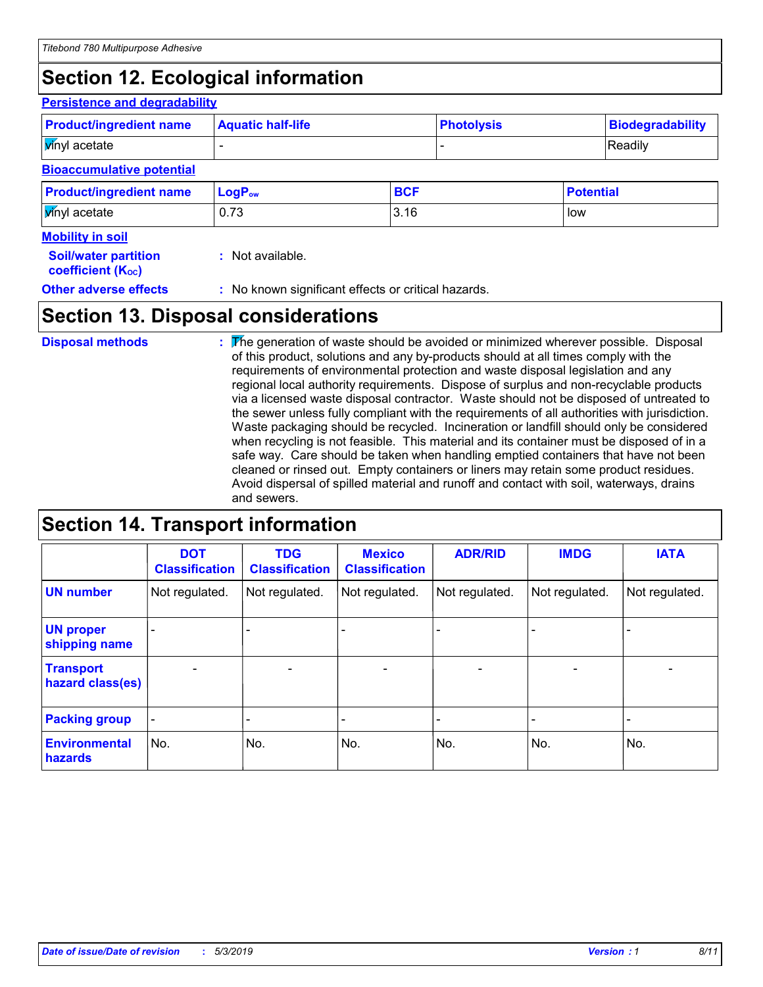# **Section 12. Ecological information**

### **Persistence and degradability**

| <b>Product/ingredient name</b>   | <b>Aquatic half-life</b> |            |  | <b>Photolysis</b> |  |
|----------------------------------|--------------------------|------------|--|-------------------|--|
| <b>V</b> inyl acetate            |                          |            |  | Readily           |  |
| <b>Bioaccumulative potential</b> |                          |            |  |                   |  |
| <b>Product/ingredient name</b>   | LogP <sub>ow</sub>       | <b>BCF</b> |  | <b>Potential</b>  |  |
| <b>V</b> inyl acetate            | 0.73                     | 3.16       |  | low               |  |
| <b>Mobility in soil</b>          |                          |            |  |                   |  |
| <b>Soil/water partition</b>      | : Not available.         |            |  |                   |  |

| <b>JUIL WALCH PALLILLUIT</b> |  |
|------------------------------|--|
| <b>coefficient (Koc)</b>     |  |

**Other adverse effects** : No known significant effects or critical hazards.

# **Section 13. Disposal considerations**

The generation of waste should be avoided or minimized wherever possible. Disposal of this product, solutions and any by-products should at all times comply with the requirements of environmental protection and waste disposal legislation and any regional local authority requirements. Dispose of surplus and non-recyclable products via a licensed waste disposal contractor. Waste should not be disposed of untreated to the sewer unless fully compliant with the requirements of all authorities with jurisdiction. Waste packaging should be recycled. Incineration or landfill should only be considered when recycling is not feasible. This material and its container must be disposed of in a safe way. Care should be taken when handling emptied containers that have not been cleaned or rinsed out. Empty containers or liners may retain some product residues. Avoid dispersal of spilled material and runoff and contact with soil, waterways, drains and sewers. **Disposal methods :**

# **Section 14. Transport information**

|                                      | <b>DOT</b><br><b>Classification</b> | <b>TDG</b><br><b>Classification</b> | <b>Mexico</b><br><b>Classification</b> | <b>ADR/RID</b>           | <b>IMDG</b>              | <b>IATA</b>    |
|--------------------------------------|-------------------------------------|-------------------------------------|----------------------------------------|--------------------------|--------------------------|----------------|
| <b>UN number</b>                     | Not regulated.                      | Not regulated.                      | Not regulated.                         | Not regulated.           | Not regulated.           | Not regulated. |
| <b>UN proper</b><br>shipping name    | $\blacksquare$                      | ۰                                   | ۰                                      | -                        |                          |                |
| <b>Transport</b><br>hazard class(es) | $\blacksquare$                      | $\overline{\phantom{a}}$            | $\overline{\phantom{a}}$               | $\overline{\phantom{a}}$ | $\overline{\phantom{a}}$ |                |
| <b>Packing group</b>                 | $\qquad \qquad \blacksquare$        |                                     |                                        |                          |                          |                |
| <b>Environmental</b><br>hazards      | No.                                 | No.                                 | No.                                    | No.                      | No.                      | No.            |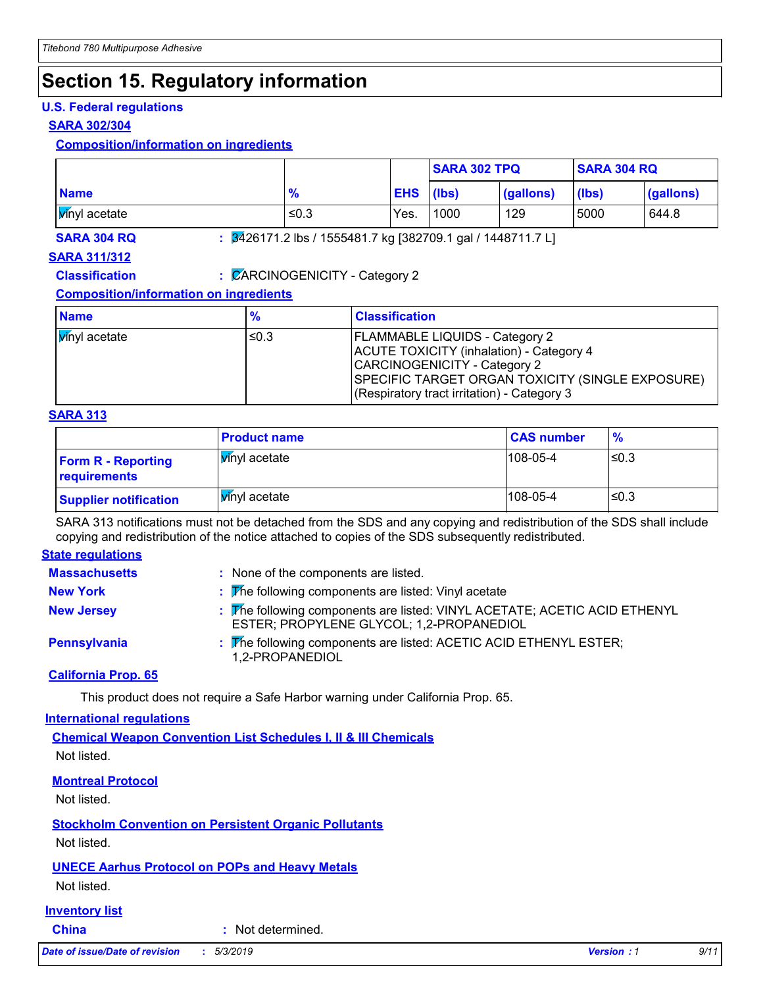# **Section 15. Regulatory information**

### **U.S. Federal regulations**

### **SARA 302/304**

### **Composition/information on ingredients**

|              |               |            | <b>SARA 302 TPQ</b> |                                                                         | <b>SARA 304 RQ</b> |           |
|--------------|---------------|------------|---------------------|-------------------------------------------------------------------------|--------------------|-----------|
| <b>Name</b>  | $\frac{9}{6}$ | <b>EHS</b> | (lbs)               | (gallons)                                                               | (lbs)              | (gallons) |
| wnyl acetate | ≤0.3          | Yes.       | 1000                | 129                                                                     | 5000               | 644.8     |
| SARA 304 RQ  |               |            |                     | $\frac{1}{2}$ 3426171.2 lbs / 1555481.7 kg [382709.1 gal / 1448711.7 L] |                    |           |

### **SARA 311/312**

**Classification :** CARCINOGENICITY - Category 2

### **Composition/information on ingredients**

| <b>Name</b>           | $\frac{9}{6}$ | <b>Classification</b>                                                                                                                                                                                                |
|-----------------------|---------------|----------------------------------------------------------------------------------------------------------------------------------------------------------------------------------------------------------------------|
| <b>V</b> inyl acetate | ≤0.3          | <b>FLAMMABLE LIQUIDS - Category 2</b><br>ACUTE TOXICITY (inhalation) - Category 4<br>CARCINOGENICITY - Category 2<br>SPECIFIC TARGET ORGAN TOXICITY (SINGLE EXPOSURE)<br>(Respiratory tract irritation) - Category 3 |

### **SARA 313**

|                                           | <b>Product name</b>   | <b>CAS number</b> | $\frac{9}{6}$ |
|-------------------------------------------|-----------------------|-------------------|---------------|
| <b>Form R - Reporting</b><br>requirements | <b>V</b> inyl acetate | $108 - 05 - 4$    | l≤0.3         |
| <b>Supplier notification</b>              | Winyl acetate         | $108 - 05 - 4$    | ≤0.3          |

SARA 313 notifications must not be detached from the SDS and any copying and redistribution of the SDS shall include copying and redistribution of the notice attached to copies of the SDS subsequently redistributed.

### **State regulations**

| <b>Massachusetts</b> | : None of the components are listed.                                                                                  |
|----------------------|-----------------------------------------------------------------------------------------------------------------------|
| <b>New York</b>      | $\frac{1}{2}$ The following components are listed: Vinyl acetate                                                      |
| <b>New Jersey</b>    | : The following components are listed: VINYL ACETATE; ACETIC ACID ETHENYL<br>ESTER; PROPYLENE GLYCOL; 1,2-PROPANEDIOL |
| Pennsylvania         | : The following components are listed: ACETIC ACID ETHENYL ESTER;<br>1,2-PROPANEDIOL                                  |

### **California Prop. 65**

This product does not require a Safe Harbor warning under California Prop. 65.

### **International regulations**

**Chemical Weapon Convention List Schedules I, II & III Chemicals** Not listed.

### **Montreal Protocol**

Not listed.

**Stockholm Convention on Persistent Organic Pollutants**

Not listed.

### **UNECE Aarhus Protocol on POPs and Heavy Metals**

Not listed.

### **Inventory list**

**China :** Not determined.

*Date of issue/Date of revision* **:** *5/3/2019 Version : 1 9/11*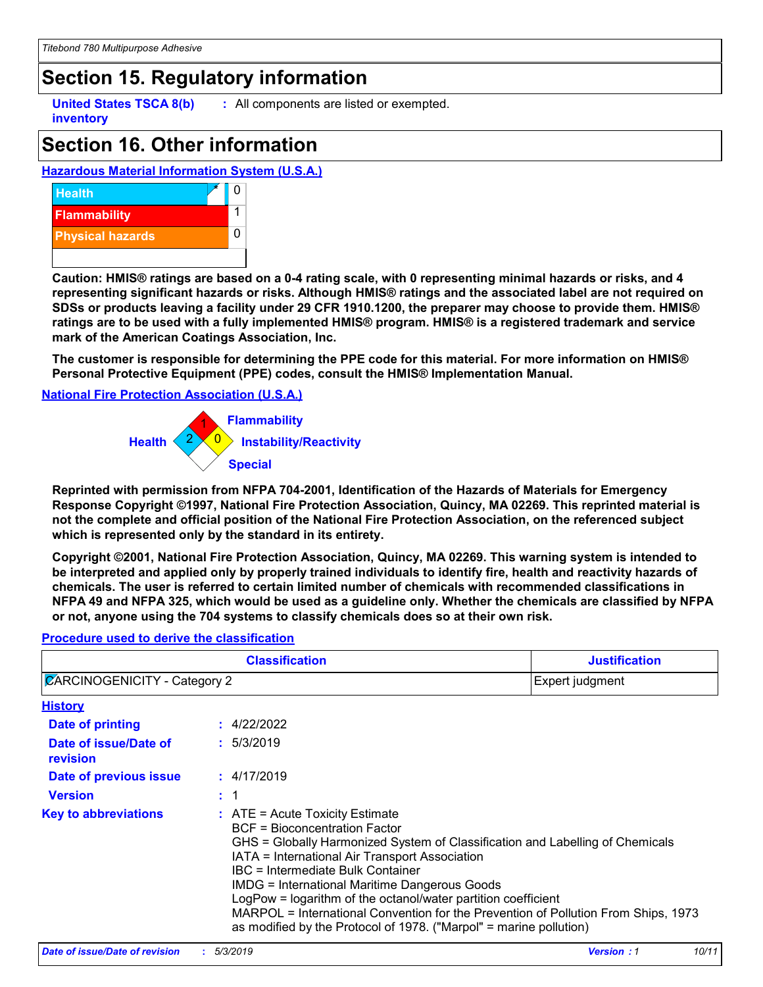# **Section 15. Regulatory information**

**inventory**

**United States TSCA 8(b) :** All components are listed or exempted.

# **Section 16. Other information**

### **Hazardous Material Information System (U.S.A.)**



**Caution: HMIS® ratings are based on a 0-4 rating scale, with 0 representing minimal hazards or risks, and 4 representing significant hazards or risks. Although HMIS® ratings and the associated label are not required on SDSs or products leaving a facility under 29 CFR 1910.1200, the preparer may choose to provide them. HMIS® ratings are to be used with a fully implemented HMIS® program. HMIS® is a registered trademark and service mark of the American Coatings Association, Inc.**

**The customer is responsible for determining the PPE code for this material. For more information on HMIS® Personal Protective Equipment (PPE) codes, consult the HMIS® Implementation Manual.**

### **National Fire Protection Association (U.S.A.)**



**Reprinted with permission from NFPA 704-2001, Identification of the Hazards of Materials for Emergency Response Copyright ©1997, National Fire Protection Association, Quincy, MA 02269. This reprinted material is not the complete and official position of the National Fire Protection Association, on the referenced subject which is represented only by the standard in its entirety.**

**Copyright ©2001, National Fire Protection Association, Quincy, MA 02269. This warning system is intended to be interpreted and applied only by properly trained individuals to identify fire, health and reactivity hazards of chemicals. The user is referred to certain limited number of chemicals with recommended classifications in NFPA 49 and NFPA 325, which would be used as a guideline only. Whether the chemicals are classified by NFPA or not, anyone using the 704 systems to classify chemicals does so at their own risk.**

#### 4/22/2022 **: History Date of printing Date of issue/Date of revision Version Date of previous issue :** 1 **:** 5/3/2019 **:** 4/17/2019 **Key to abbreviations :** ATE = Acute Toxicity Estimate BCF = Bioconcentration Factor GHS = Globally Harmonized System of Classification and Labelling of Chemicals IATA = International Air Transport Association IBC = Intermediate Bulk Container IMDG = International Maritime Dangerous Goods LogPow = logarithm of the octanol/water partition coefficient MARPOL = International Convention for the Prevention of Pollution From Ships, 1973 as modified by the Protocol of 1978. ("Marpol" = marine pollution) **Classification Justification**  $\mathbb Z$ ARCINOGENICITY - Category 2 Expert judgment

#### **Procedure used to derive the classification**